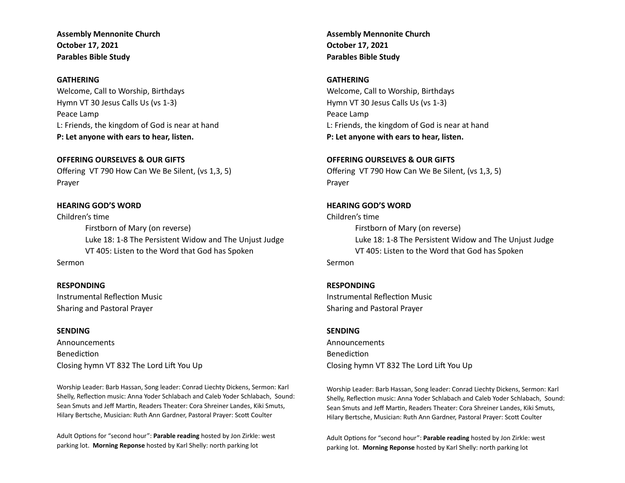**Assembly Mennonite Church October 17, 2021 Parables Bible Study**

# **GATHERING**

Welcome, Call to Worship, Birthdays Hymn VT 30 Jesus Calls Us (vs 1-3) Peace Lamp L: Friends, the kingdom of God is near at hand **P: Let anyone with ears to hear, listen.**

## **OFFERING OURSELVES & OUR GIFTS**

Offering VT 790 How Can We Be Silent, (vs 1,3, 5) Prayer

# **HEARING GOD'S WORD**

Children's time Firstborn of Mary (on reverse) Luke 18: 1-8 The Persistent Widow and The Unjust Judge VT 405: Listen to the Word that God has Spoken Sermon

### **RESPONDING**

Instrumental Reflection Music Sharing and Pastoral Prayer

# **SENDING**

Announcements Benediction Closing hymn VT 832 The Lord Lift You Up

Worship Leader: Barb Hassan, Song leader: Conrad Liechty Dickens, Sermon: Karl Shelly, Reflection music: Anna Yoder Schlabach and Caleb Yoder Schlabach, Sound: Sean Smuts and Jeff Martin, Readers Theater: Cora Shreiner Landes, Kiki Smuts, Hilary Bertsche, Musician: Ruth Ann Gardner, Pastoral Prayer: Scott Coulter

Adult Options for "second hour": **Parable reading** hosted by Jon Zirkle: west parking lot. **Morning Reponse** hosted by Karl Shelly: north parking lot

**Assembly Mennonite Church October 17, 2021 Parables Bible Study**

# **GATHERING**

Welcome, Call to Worship, Birthdays Hymn VT 30 Jesus Calls Us (vs 1-3) Peace Lamp L: Friends, the kingdom of God is near at hand **P: Let anyone with ears to hear, listen.**

### **OFFERING OURSELVES & OUR GIFTS**

Offering VT 790 How Can We Be Silent, (vs 1,3, 5) Prayer

## **HEARING GOD'S WORD**

Children's time Firstborn of Mary (on reverse) Luke 18: 1-8 The Persistent Widow and The Unjust Judge VT 405: Listen to the Word that God has Spoken Sermon

# **RESPONDING**

Instrumental Reflection Music Sharing and Pastoral Prayer

### **SENDING**

Announcements Benediction Closing hymn VT 832 The Lord Lift You Up

Worship Leader: Barb Hassan, Song leader: Conrad Liechty Dickens, Sermon: Karl Shelly, Reflection music: Anna Yoder Schlabach and Caleb Yoder Schlabach, Sound: Sean Smuts and Jeff Martin, Readers Theater: Cora Shreiner Landes, Kiki Smuts, Hilary Bertsche, Musician: Ruth Ann Gardner, Pastoral Prayer: Scott Coulter

Adult Options for "second hour": Parable reading hosted by Jon Zirkle: west parking lot. **Morning Reponse** hosted by Karl Shelly: north parking lot